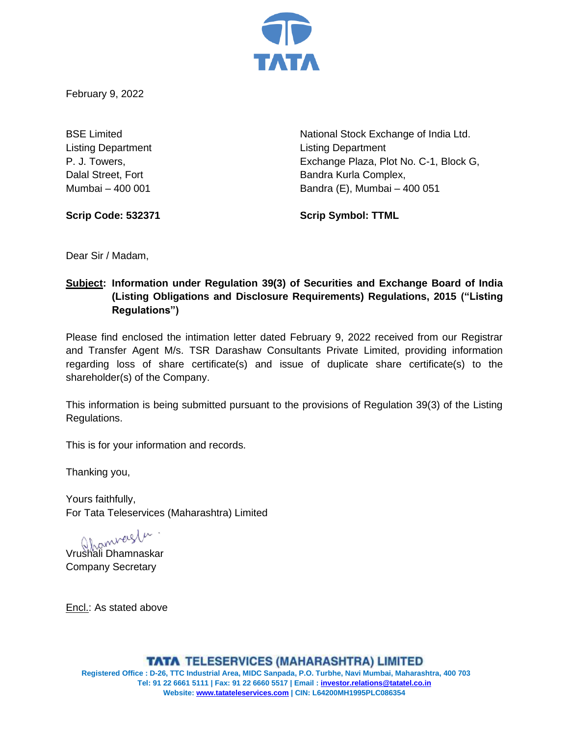

February 9, 2022

Listing Department Listing Department

BSE Limited **National Stock Exchange of India Ltd.** National Stock Exchange of India Ltd. P. J. Towers, Exchange Plaza, Plot No. C-1, Block G, Dalal Street, Fort **Bandra Kurla Complex**, Mumbai – 400 001 Bandra (E), Mumbai – 400 051

**Scrip Code: 532371 Scrip Symbol: TTML**

Dear Sir / Madam,

# **Subject: Information under Regulation 39(3) of Securities and Exchange Board of India (Listing Obligations and Disclosure Requirements) Regulations, 2015 ("Listing Regulations")**

Please find enclosed the intimation letter dated February 9, 2022 received from our Registrar and Transfer Agent M/s. TSR Darashaw Consultants Private Limited, providing information regarding loss of share certificate(s) and issue of duplicate share certificate(s) to the shareholder(s) of the Company.

This information is being submitted pursuant to the provisions of Regulation 39(3) of the Listing Regulations.

This is for your information and records.

Thanking you,

Yours faithfully, For Tata Teleservices (Maharashtra) Limited

Vrushali Dhamnaskar

Company Secretary

Encl.: As stated above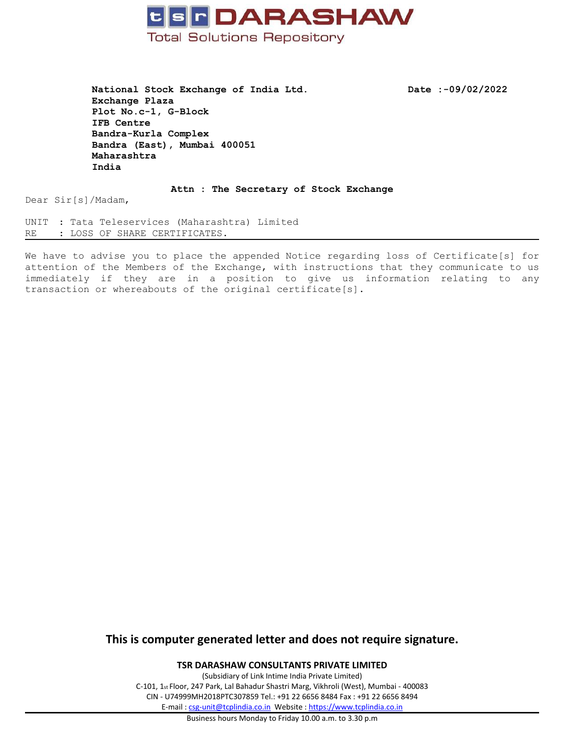

**National Stock Exchange of India Ltd. Date :-09/02/2022 Exchange Plaza Plot No.c-1, G-Block IFB Centre Bandra-Kurla Complex Bandra (East), Mumbai 400051 Maharashtra India**

**Attn : The Secretary of Stock Exchange**

Dear Sir[s]/Madam,

UNIT : Tata Teleservices (Maharashtra) Limited RE : LOSS OF SHARE CERTIFICATES.

We have to advise you to place the appended Notice regarding loss of Certificate[s] for attention of the Members of the Exchange, with instructions that they communicate to us immediately if they are in <sup>a</sup> position to give us information relating to any transaction or whereabouts of the original certificate[s].

## **This is computer generated letter and does not require signature.**

**TSR DARASHAW CONSULTANTS PRIVATE LIMITED**

(Subsidiary of Link Intime India Private Limited) C-101, 1st Floor, 247 Park, Lal Bahadur Shastri Marg, Vikhroli (West), Mumbai - 400083 CIN - U74999MH2018PTC307859 Tel.: +91 22 6656 8484 Fax : +91 22 6656 8494 E-mail : [csg-unit@tcplindia.co.in](mailto:csg-unit@tcplindia.co.in) Website : <https://www.tcplindia.co.in>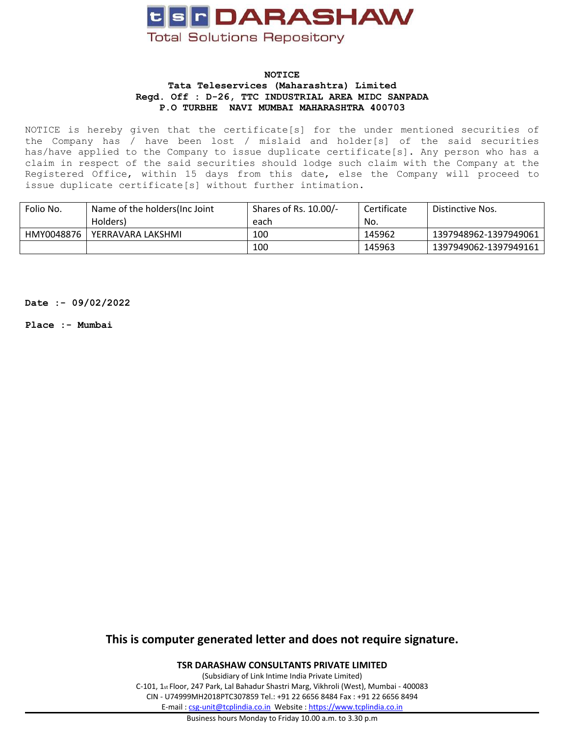

#### **NOTICE Tata Teleservices (Maharashtra) Limited Regd. Off : D-26, TTC INDUSTRIAL AREA MIDC SANPADA P.O TURBHE NAVI MUMBAI MAHARASHTRA 400703**

NOTICE is hereby given that the certificate[s] for the under mentioned securities of the Company has / have been lost / mislaid and holder[s] of the said securities has/have applied to the Company to issue duplicate certificate[s]. Any person who has a claim in respect of the said securities should lodge such claim with the Company at the Registered Office, within 15 days from this date, else the Company will proceed to issue duplicate certificate[s] without further intimation.

| Folio No.  | Name of the holders(Inc Joint | Shares of Rs. 10.00/- | Certificate | Distinctive Nos.      |
|------------|-------------------------------|-----------------------|-------------|-----------------------|
|            | Holders)                      | each                  | No.         |                       |
| HMY0048876 | YERRAVARA LAKSHMI             | 100                   | 145962      | 1397948962-1397949061 |
|            |                               | 100                   | 145963      | 1397949062-1397949161 |

**Date :- 09/02/2022**

**Place :- Mumbai**

**This is computer generated letter and does not require signature.**

**TSR DARASHAW CONSULTANTS PRIVATE LIMITED**

(Subsidiary of Link Intime India Private Limited) C-101, 1st Floor, 247 Park, Lal Bahadur Shastri Marg, Vikhroli (West), Mumbai - 400083 CIN - U74999MH2018PTC307859 Tel.: +91 22 6656 8484 Fax : +91 22 6656 8494 E-mail : [csg-unit@tcplindia.co.in](mailto:csg-unit@tcplindia.co.in) Website : <https://www.tcplindia.co.in>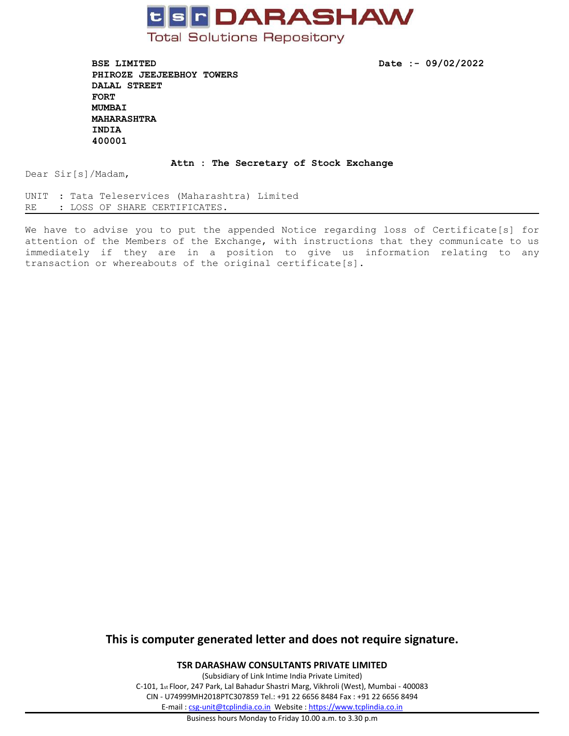

**BSE LIMITED Date :- 09/02/2022 PHIROZE JEEJEEBHOY TOWERS DALAL STREET FORT MUMBAI MAHARASHTRA INDIA 400001**

### **Attn : The Secretary of Stock Exchange**

Dear Sir[s]/Madam,

UNIT : Tata Teleservices (Maharashtra) Limited RE : LOSS OF SHARE CERTIFICATES.

We have to advise you to put the appended Notice regarding loss of Certificate[s] for attention of the Members of the Exchange, with instructions that they communicate to us immediately if they are in <sup>a</sup> position to give us information relating to any transaction or whereabouts of the original certificate[s].

## **This is computer generated letter and does not require signature.**

**TSR DARASHAW CONSULTANTS PRIVATE LIMITED**

(Subsidiary of Link Intime India Private Limited) C-101, 1st Floor, 247 Park, Lal Bahadur Shastri Marg, Vikhroli (West), Mumbai - 400083 CIN - U74999MH2018PTC307859 Tel.: +91 22 6656 8484 Fax : +91 22 6656 8494 E-mail : [csg-unit@tcplindia.co.in](mailto:csg-unit@tcplindia.co.in) Website : <https://www.tcplindia.co.in>